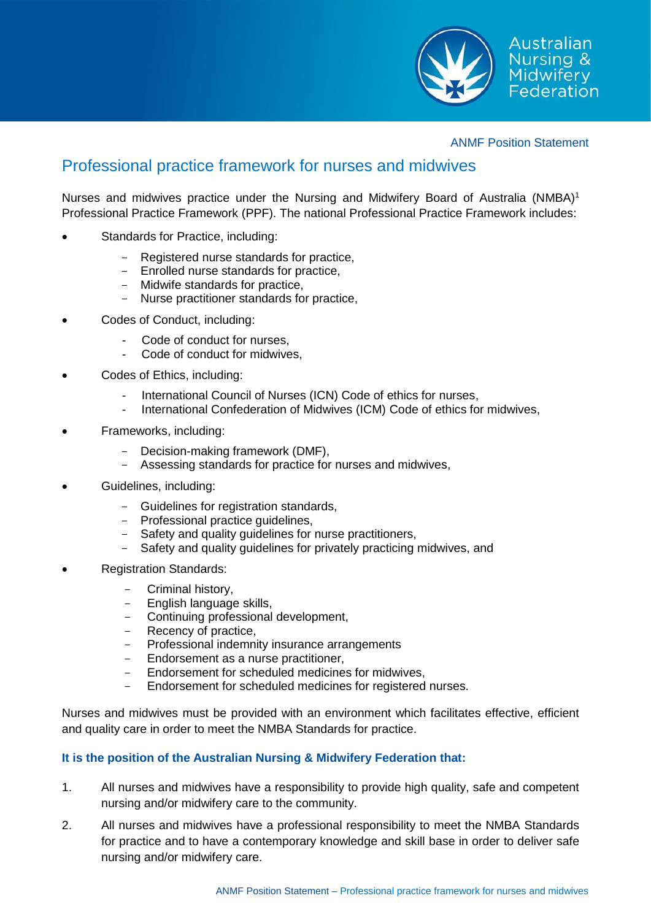

## ANMF Position Statement

## Professional practice framework for nurses and midwives

Nurses and midwives practice under the Nursing and Midwifery Board of Australia (NMBA)<sup>1</sup> Professional Practice Framework (PPF). The national Professional Practice Framework includes:

- Standards for Practice, including:
	- Registered nurse standards for practice,
	- Enrolled nurse standards for practice,
	- Midwife standards for practice,
	- Nurse practitioner standards for practice,
- Codes of Conduct, including:
	- Code of conduct for nurses,
	- Code of conduct for midwives.
- Codes of Ethics, including:
	- International Council of Nurses (ICN) Code of ethics for nurses,
	- International Confederation of Midwives (ICM) Code of ethics for midwives,
- Frameworks, including:
	- Decision-making framework (DMF),
	- Assessing standards for practice for nurses and midwives,
- Guidelines, including:
	- Guidelines for registration standards,
	- Professional practice guidelines,
	- Safety and quality guidelines for nurse practitioners,
	- Safety and quality guidelines for privately practicing midwives, and
- Registration Standards:
	- Criminal history,
	- English language skills,
	- Continuing professional development,
	- Recency of practice,
	- Professional indemnity insurance arrangements
	- Endorsement as a nurse practitioner,
	- Endorsement for scheduled medicines for midwives,
	- Endorsement for scheduled medicines for registered nurses.

Nurses and midwives must be provided with an environment which facilitates effective, efficient and quality care in order to meet the NMBA Standards for practice.

## **It is the position of the Australian Nursing & Midwifery Federation that:**

- 1. All nurses and midwives have a responsibility to provide high quality, safe and competent nursing and/or midwifery care to the community.
- 2. All nurses and midwives have a professional responsibility to meet the NMBA Standards for practice and to have a contemporary knowledge and skill base in order to deliver safe nursing and/or midwifery care.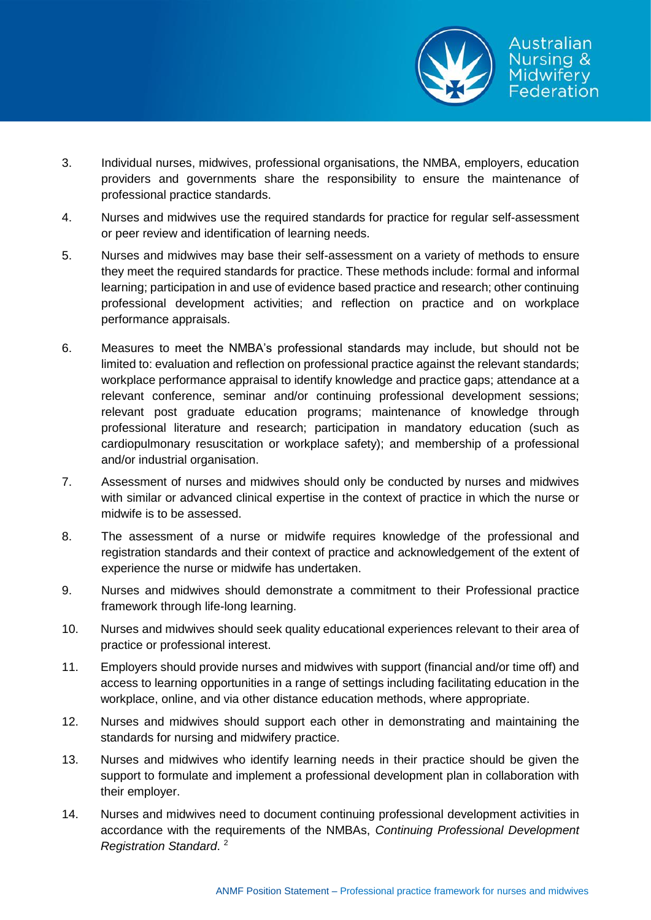

- 3. Individual nurses, midwives, professional organisations, the NMBA, employers, education providers and governments share the responsibility to ensure the maintenance of professional practice standards.
- 4. Nurses and midwives use the required standards for practice for regular self-assessment or peer review and identification of learning needs.
- 5. Nurses and midwives may base their self-assessment on a variety of methods to ensure they meet the required standards for practice. These methods include: formal and informal learning; participation in and use of evidence based practice and research; other continuing professional development activities; and reflection on practice and on workplace performance appraisals.
- 6. Measures to meet the NMBA's professional standards may include, but should not be limited to: evaluation and reflection on professional practice against the relevant standards; workplace performance appraisal to identify knowledge and practice gaps; attendance at a relevant conference, seminar and/or continuing professional development sessions; relevant post graduate education programs; maintenance of knowledge through professional literature and research; participation in mandatory education (such as cardiopulmonary resuscitation or workplace safety); and membership of a professional and/or industrial organisation.
- 7. Assessment of nurses and midwives should only be conducted by nurses and midwives with similar or advanced clinical expertise in the context of practice in which the nurse or midwife is to be assessed.
- 8. The assessment of a nurse or midwife requires knowledge of the professional and registration standards and their context of practice and acknowledgement of the extent of experience the nurse or midwife has undertaken.
- 9. Nurses and midwives should demonstrate a commitment to their Professional practice framework through life-long learning.
- 10. Nurses and midwives should seek quality educational experiences relevant to their area of practice or professional interest.
- 11. Employers should provide nurses and midwives with support (financial and/or time off) and access to learning opportunities in a range of settings including facilitating education in the workplace, online, and via other distance education methods, where appropriate.
- 12. Nurses and midwives should support each other in demonstrating and maintaining the standards for nursing and midwifery practice.
- 13. Nurses and midwives who identify learning needs in their practice should be given the support to formulate and implement a professional development plan in collaboration with their employer.
- 14. Nurses and midwives need to document continuing professional development activities in accordance with the requirements of the NMBAs, *Continuing Professional Development Registration Standard*. 2